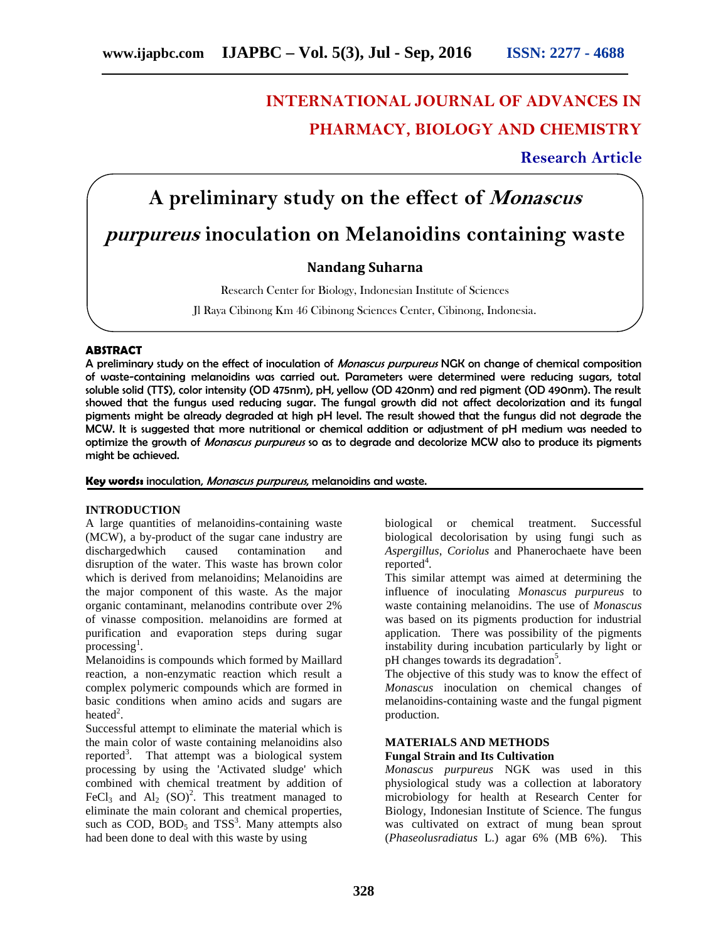# **INTERNATIONAL JOURNAL OF ADVANCES IN PHARMACY, BIOLOGY AND CHEMISTRY**

**Research Article**

# **A preliminary study on the effect of** *Monascus purpureus* **inoculation on Melanoidins containing waste**

# **Nandang Suharna**

Research Center for Biology, Indonesian Institute of Sciences

Jl Raya Cibinong Km 46 Cibinong Sciences Center, Cibinong, Indonesia.

# **ABSTRACT**

A preliminary study on the effect of inoculation of *Monascus purpureus* NGK on change of chemical composition of waste-containing melanoidins was carried out. Parameters were determined were reducing sugars, total soluble solid (TTS), color intensity (OD 475nm), pH, yellow (OD 420nm) and red pigment (OD 490nm). The result showed that the fungus used reducing sugar. The fungal growth did not affect decolorization and its fungal pigments might be already degraded at high pH level. The result showed that the fungus did not degrade the MCW. It is suggested that more nutritional or chemical addition or adjustment of pH medium was needed to optimize the growth of *Monascus purpureus* so as to degrade and decolorize MCW also to produce its pigments might be achieved.

**Key words:** inoculation, *Monascus purpureus*, melanoidins and waste.

# **INTRODUCTION**

A large quantities of melanoidins-containing waste (MCW), a by-product of the sugar cane industry are dischargedwhich caused contamination and disruption of the water. This waste has brown color which is derived from melanoidins; Melanoidins are the major component of this waste. As the major organic contaminant, melanodins contribute over 2% of vinasse composition. melanoidins are formed at purification and evaporation steps during sugar processing<sup>1</sup>. .

Melanoidins is compounds which formed by Maillard reaction, a non-enzymatic reaction which result a complex polymeric compounds which are formed in basic conditions when amino acids and sugars are heated<sup>2</sup>.

Successful attempt to eliminate the material which is the main color of waste containing melanoidins also reported<sup>3</sup>. That attempt was a biological system **Fung** processing by using the 'Activated sludge' which combined with chemical treatment by addition of FeCl<sub>3</sub> and Al<sub>2</sub> (SO)<sup>2</sup>. This treatment managed to eliminate the main colorant and chemical properties, such as COD,  $BOD_5$  and TSS<sup>3</sup>. Many attempts also had been done to deal with this waste by using

biological or chemical treatment. Successful biological decolorisation by using fungi such as *Aspergillus*, *Coriolus* and Phanerochaete have been  $reported<sup>4</sup>$ .

This similar attempt was aimed at determining the influence of inoculating *Monascus purpureus* to waste containing melanoidins. The use of *Monascus* was based on its pigments production for industrial application. There was possibility of the pigments instability during incubation particularly by light or pH changes towards its degradation<sup>5</sup>.

The objective of this study was to know the effect of *Monascus* inoculation on chemical changes of melanoidins-containing waste and the fungal pigment production.

# **MATERIALS AND METHODS Fungal Strain and Its Cultivation**

*Monascus purpureus* NGK was used in this physiological study was a collection at laboratory microbiology for health at Research Center for Biology, Indonesian Institute of Science. The fungus was cultivated on extract of mung bean sprout (*Phaseolusradiatus* L.) agar 6% (MB 6%). This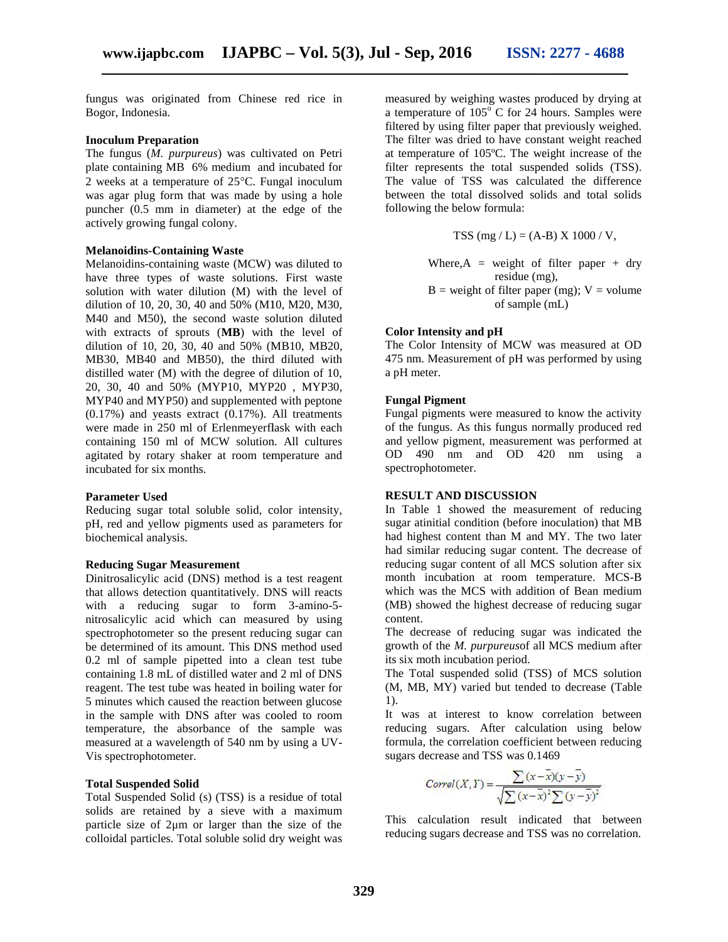fungus was originated from Chinese red rice in Bogor, Indonesia.

### **Inoculum Preparation**

The fungus (*M. purpureus*) was cultivated on Petri plate containing MB 6% medium and incubated for 2 weeks at a temperature of  $25^{\circ}$ C. Fungal inoculum The fungus (*M. purpureus*) was cultivated on Petri<br>plate containing MB 6% medium and incubated for<br>2 weeks at a temperature of 25°C. Fungal inoculum<br>was agar plug form that was made by using a hole puncher  $(0.5 \text{ mm}$  in diameter) at the edge of the actively growing fungal colony.

#### **Melanoidins-Containing Waste**

Melanoidins-containing waste (MCW) was diluted to have three types of waste solutions. First waste solution with water dilution (M) with the level of dilution of 10, 20, 30, 40 and 50% (M10, M20, M30, dilution of 10, 20, 30, 40 and 50% (M10, M20, M30, M40 and M50), the second waste solution diluted with extracts of sprouts (**MB**) with the level of dilution of 10, 20, 30, 40 and 50% (MB10, MB20, MB30, MB40 and MB50), the third diluted with distilled water (M) with the degree of dilution of 10, 20, 30, 40 and 50% (MYP10, MYP20 , MYP30, MYP40 and MYP50) and supplemented with peptone  $(0.17\%)$  and yeasts extract  $(0.17\%)$ . All treatments were made in 250 ml of Erlenmeyerflask with each containing 150 ml of MCW solution. All cultures agitated by rotary shaker at room temperature and incubated for six months. with extracts of sprouts (MB) with the level of<br>dilution of 10, 20, 30, 40 and 50% (MB10, MB20,<br>MB30, MB40 and MB50), the third diluted with<br>distilled water (M) with the degree of dilution of 10,<br>20, 30, 40 and 50% (MYP10, flugge was originated paper (mg). Weights with constant by registered by the produced paper that is a set of the big weight produced paper that the constant weight by the constant weight by the constant weight by the cons

#### **Parameter Used**

Reducing sugar total soluble solid, color intensity, pH, red and yellow pigments used as parameters for biochemical analysis.

#### **Reducing Sugar Measurement**

Dinitrosalicylic acid (DNS) method is a test reagent that allows detection quantitatively. DNS will reacts with a reducing sugar to form 3-amino-5 nitrosalicylic acid which can measured by using spectrophotometer so the present reducing sugar can be determined of its amount. This DNS method used 0.2 ml of sample pipetted into a clean test tube 0.2 ml of sample pipetted into a clean test tube it<br>containing 1.8 mL of distilled water and 2 ml of DNS T reagent. The test tube was heated in boiling water for 5 minutes which caused the reaction between glucose in the sample with DNS after was cooled to room temperature, the absorbance of the sample was measured at a wavelength of 540 nm by using a UV- Vis spectrophotometer. in a 150 ml of MCW solution. All cultures<br>ted by rotary shaker at room temperature and<br>bated for six months.<br>**inneter Used**<br>acing sugar total soluble solid, color intensity,<br>red and yellow pigments used as parameters for<br>h test tube was heated in boiling water for<br>hich caused the reaction between glucose<br>le with DNS after was cooled to room<br>the absorbance of the sample was<br>a wavelength of 540 nm by using a UV-

#### **Total Suspended Solid**

Total Suspended Solid (s) (TSS) is a residue of total Total Suspended Solid (s) (TSS) is a residue of total solids are retained by a sieve with a maximum particle size of  $2\mu$ m or larger than the size of the colloidal particles. Total soluble solid dry weight was

measured by weighing wastes produced by drying at a temperature of  $105^{\circ}$  C for 24 hours. Samples were filtered by using filter paper that previously weighed. The filter was dried to have constant weight reached at temperature of 105ºC. The weight increase of the filter represents the total suspended solids (TSS). The value of TSS was calculated the difference between the total dissolved solids and total solids following the below formula:

TSS (mg / L) = (A-B) X 1000 / V,

Where, 
$$
A =
$$
 weight of filter paper + dry residue (mg),  
\n $B =$  weight of filter paper (mg);  $V =$  volume of sample (mL)

#### **Color Intensity and pH Color**

The Color Intensity of MCW was measured at OD The Color Intensity of MCW was measured at OD<br>475 nm. Measurement of pH was performed by using a pH meter.

#### **Fungal Pigment Fungal**

Fungal pigments were measured to know the activity of the fungus. As this fungus normally produced red and yellow pigment, measurement was performed at OD 490 nm and OD 420 nm using a spectrophotometer. gal pigments were measured to know the activity<br>be fungus. As this fungus normally produced red<br>yellow pigment, measurement was performed at<br>490 nm and OD 420 nm using a

#### **RESULT AND DISCUSSION AND**

In Table 1 showed the measurement of reducing sugar atinitial condition (before inoculation) that MB had highest content than M and MY. The two later had similar reducing sugar content. The decrease of reducing sugar content of all MCS solution after six month incubation at room temperature. MCS-B which was the MCS with addition of Bean medium (MB) showed the highest decrease of reducing sugar content. (MB) showed the highest decrease of reducing sugar<br>content.<br>The decrease of reducing sugar was indicated the r atinitial condition (before inoculation) that MB<br>highest content than M and MY. The two later<br>similar reducing sugar content. The decrease of<br>cing sugar content of all MCS solution after six residue (mg),<br>
as weight of filter paper (mg);  $V =$  volume<br>
of sample (mL)<br>
tensity and pH<br>
of Sample (mL)<br>
or Intensity of MCW was measured at OD<br>
Measurement of pH was performed by using<br>
er.<br> **igment**<br>
weigement, measu

growth of the *M.purpureus*of all MCS medium after its six moth incubation period.

The Total suspended solid (TSS) of MCS solution (M, MB, MY) varied but tended to decrease (Table 1). (M, MB, MY) varied but tended to decrease (Table 1).<br>1).<br>It was at interest to know correlation between

reducing sugars. After calculation using below formula, the correlation coefficient between reducing sugars decrease and TSS was 0.1469

$$
Correl(X, Y) = \frac{\sum (x - \overline{x})(y - \overline{y})}{\sqrt{\sum (x - \overline{x})^2 \sum (y - \overline{y})^2}}
$$

This calculation result indicated that between reducing sugars decrease and TSS was no correlation.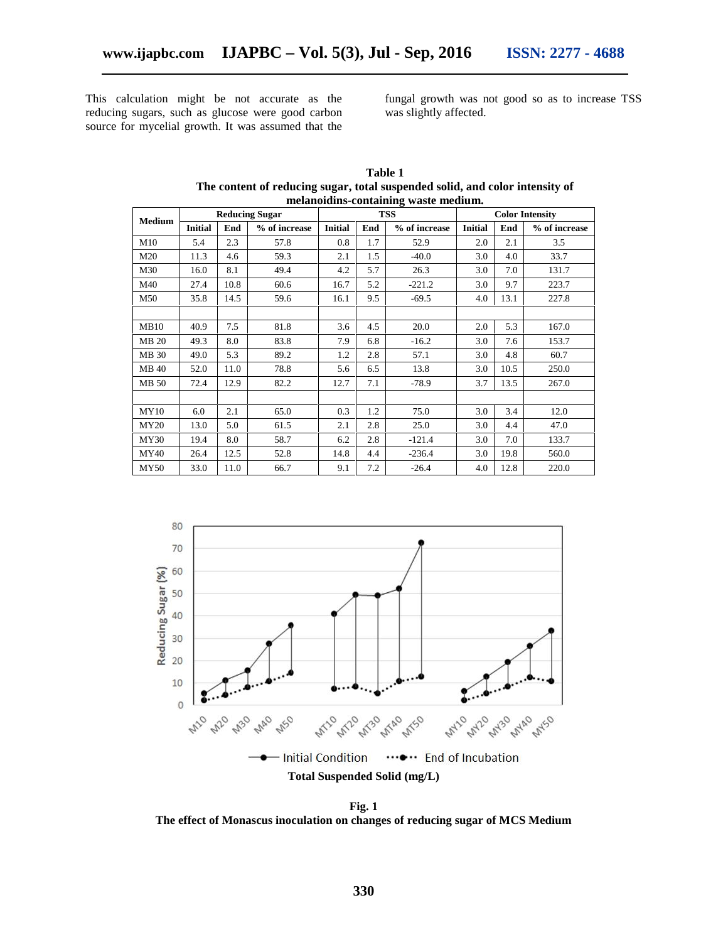This calculation might be not accurate as the reducing sugars, such as glucose were good carbon source for mycelial growth. It was assumed that the

fungal growth was not good so as to increase TSS was slightly affected.

| Table 1                                                                      |  |  |  |  |  |  |
|------------------------------------------------------------------------------|--|--|--|--|--|--|
| The content of reducing sugar, total suspended solid, and color intensity of |  |  |  |  |  |  |
| melanoidins-containing waste medium.                                         |  |  |  |  |  |  |

| <b>Medium</b> | <b>Reducing Sugar</b> |      |               | <b>TSS</b>     |     |               | <b>Color Intensity</b> |      |               |
|---------------|-----------------------|------|---------------|----------------|-----|---------------|------------------------|------|---------------|
|               | <b>Initial</b>        | End  | % of increase | <b>Initial</b> | End | % of increase | <b>Initial</b>         | End  | % of increase |
| M10           | 5.4                   | 2.3  | 57.8          | 0.8            | 1.7 | 52.9          | 2.0                    | 2.1  | 3.5           |
| M20           | 11.3                  | 4.6  | 59.3          | 2.1            | 1.5 | $-40.0$       | 3.0                    | 4.0  | 33.7          |
| M30           | 16.0                  | 8.1  | 49.4          | 4.2            | 5.7 | 26.3          | 3.0                    | 7.0  | 131.7         |
| M40           | 27.4                  | 10.8 | 60.6          | 16.7           | 5.2 | $-221.2$      | 3.0                    | 9.7  | 223.7         |
| M50           | 35.8                  | 14.5 | 59.6          | 16.1           | 9.5 | $-69.5$       | 4.0                    | 13.1 | 227.8         |
|               |                       |      |               |                |     |               |                        |      |               |
| <b>MB10</b>   | 40.9                  | 7.5  | 81.8          | 3.6            | 4.5 | 20.0          | 2.0                    | 5.3  | 167.0         |
| <b>MB 20</b>  | 49.3                  | 8.0  | 83.8          | 7.9            | 6.8 | $-16.2$       | 3.0                    | 7.6  | 153.7         |
| MB 30         | 49.0                  | 5.3  | 89.2          | 1.2            | 2.8 | 57.1          | 3.0                    | 4.8  | 60.7          |
| <b>MB</b> 40  | 52.0                  | 11.0 | 78.8          | 5.6            | 6.5 | 13.8          | 3.0                    | 10.5 | 250.0         |
| MB 50         | 72.4                  | 12.9 | 82.2          | 12.7           | 7.1 | $-78.9$       | 3.7                    | 13.5 | 267.0         |
|               |                       |      |               |                |     |               |                        |      |               |
| <b>MY10</b>   | 6.0                   | 2.1  | 65.0          | 0.3            | 1.2 | 75.0          | 3.0                    | 3.4  | 12.0          |
| MY20          | 13.0                  | 5.0  | 61.5          | 2.1            | 2.8 | 25.0          | 3.0                    | 4.4  | 47.0          |
| MY30          | 19.4                  | 8.0  | 58.7          | 6.2            | 2.8 | $-121.4$      | 3.0                    | 7.0  | 133.7         |
| MY40          | 26.4                  | 12.5 | 52.8          | 14.8           | 4.4 | $-236.4$      | 3.0                    | 19.8 | 560.0         |
| MY50          | 33.0                  | 11.0 | 66.7          | 9.1            | 7.2 | $-26.4$       | 4.0                    | 12.8 | 220.0         |



**Fig. 1 The effect of Monascus inoculation on changes of reducing sugar of MCS Medium**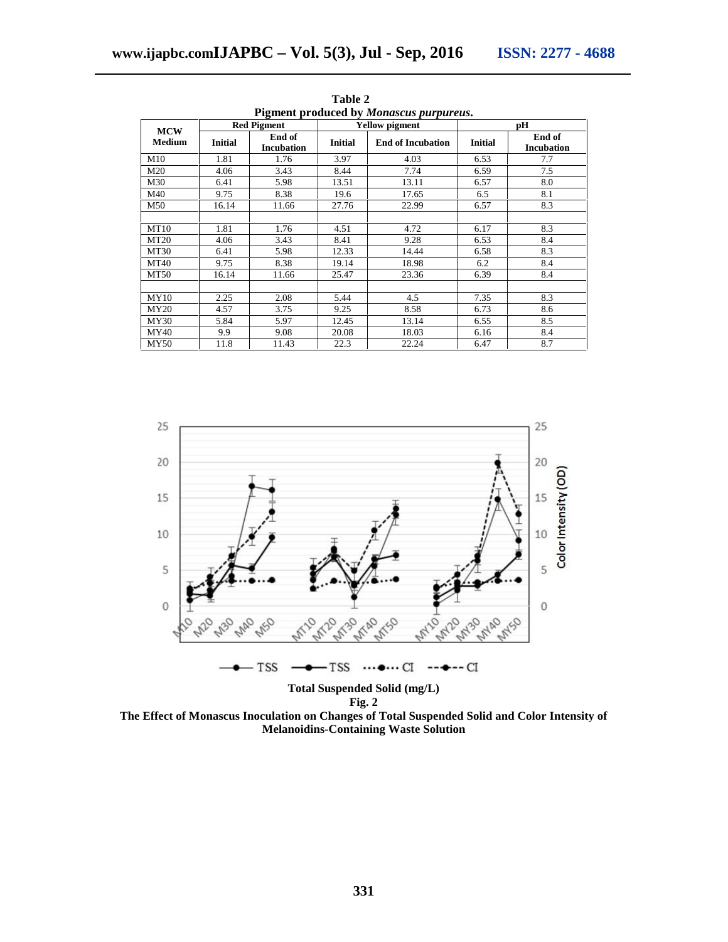|               |                |                             |         | <u>rencue produccu by homascas parparcas.</u> |                |                             |  |
|---------------|----------------|-----------------------------|---------|-----------------------------------------------|----------------|-----------------------------|--|
| <b>MCW</b>    |                | <b>Red Pigment</b>          |         | <b>Yellow pigment</b>                         | pН             |                             |  |
| <b>Medium</b> | <b>Initial</b> | End of<br><b>Incubation</b> | Initial | <b>End of Incubation</b>                      | <b>Initial</b> | End of<br><b>Incubation</b> |  |
| M10           | 1.81           | 1.76                        | 3.97    | 4.03                                          | 6.53           | 7.7                         |  |
| M20           | 4.06           | 3.43                        | 8.44    | 7.74                                          | 6.59           | 7.5                         |  |
| M30           | 6.41           | 5.98                        | 13.51   | 13.11                                         | 6.57           | 8.0                         |  |
| M40           | 9.75           | 8.38                        | 19.6    | 17.65                                         | 6.5            | 8.1                         |  |
| M50           | 16.14          | 11.66                       | 27.76   | 22.99                                         | 6.57           | 8.3                         |  |
|               |                |                             |         |                                               |                |                             |  |
| <b>MT10</b>   | 1.81           | 1.76                        | 4.51    | 4.72                                          | 6.17           | 8.3                         |  |
| MT20          | 4.06           | 3.43                        | 8.41    | 9.28                                          | 6.53           | 8.4                         |  |
| <b>MT30</b>   | 6.41           | 5.98                        | 12.33   | 14.44                                         | 6.58           | 8.3                         |  |
| <b>MT40</b>   | 9.75           | 8.38                        | 19.14   | 18.98                                         | 6.2            | 8.4                         |  |
| MT50          | 16.14          | 11.66                       | 25.47   | 23.36                                         | 6.39           | 8.4                         |  |
|               |                |                             |         |                                               |                |                             |  |
| MY10          | 2.25           | 2.08                        | 5.44    | 4.5                                           | 7.35           | 8.3                         |  |
| MY20          | 4.57           | 3.75                        | 9.25    | 8.58                                          | 6.73           | 8.6                         |  |
| MY30          | 5.84           | 5.97                        | 12.45   | 13.14                                         | 6.55           | 8.5                         |  |
| MY40          | 9.9            | 9.08                        | 20.08   | 18.03                                         | 6.16           | 8.4                         |  |
| MY50          | 11.8           | 11.43                       | 22.3    | 22.24                                         | 6.47           | 8.7                         |  |

**Table 2 Pigment produced by** *Monascus purpureus***.**



**The Effect of Monascus Inoculation on Changes of Total Suspended Solid and Color Intensity of Melanoidins-Containing Waste Solution**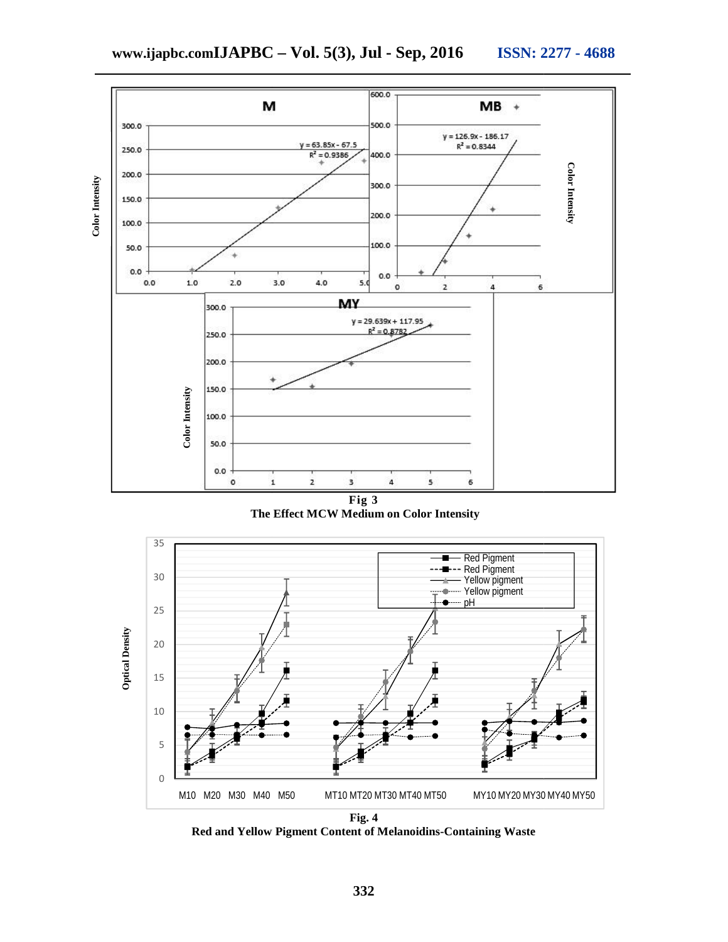

**The Effect MCW Medium on Color Intensity Fig Intensity**

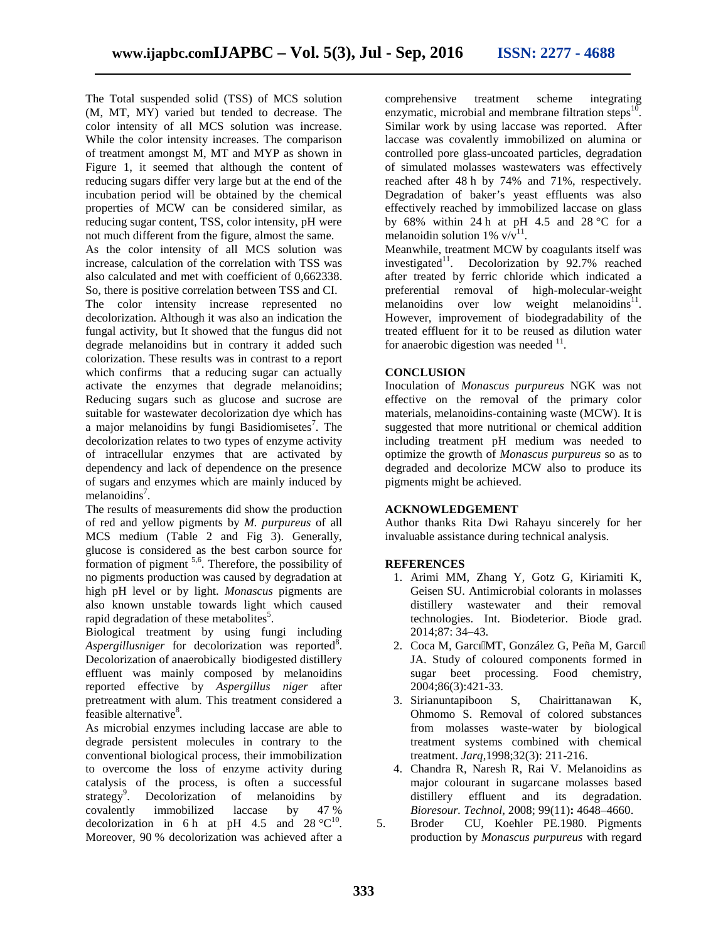The Total suspended solid (TSS) of MCS solution (M, MT, MY) varied but tended to decrease. The color intensity of all MCS solution was increase. While the color intensity increases. The comparison of treatment amongst M, MT and MYP as shown in Figure 1, it seemed that although the content of reducing sugars differ very large but at the end of the incubation period will be obtained by the chemical properties of MCW can be considered similar, as reducing sugar content, TSS, color intensity, pH were not much different from the figure, almost the same.

As the color intensity of all MCS solution was increase, calculation of the correlation with TSS was also calculated and met with coefficient of 0,662338. So, there is positive correlation between TSS and CI.

The color intensity increase represented no decolorization. Although it was also an indication the fungal activity, but It showed that the fungus did not degrade melanoidins but in contrary it added such colorization. These results was in contrast to a report which confirms that a reducing sugar can actually activate the enzymes that degrade melanoidins; Reducing sugars such as glucose and sucrose are suitable for wastewater decolorization dye which has a major melanoidins by fungi Basidiomisetes<sup>7</sup>. The decolorization relates to two types of enzyme activity of intracellular enzymes that are activated by dependency and lack of dependence on the presence of sugars and enzymes which are mainly induced by melanoidins<sup>7</sup>.

The results of measurements did show the production of red and yellow pigments by *M. purpureus* of all MCS medium (Table 2 and Fig 3). Generally, glucose is considered as the best carbon source for formation of pigment  $5,6$ . Therefore, the possibility of no pigments production was caused by degradation at high pH level or by light. *Monascus* pigments are also known unstable towards light which caused rapid degradation of these metabolites<sup>5</sup>.

Biological treatment by using fungi including Aspergillusniger for decolorization was reported<sup>8</sup>. Decolorization of anaerobically biodigested distillery effluent was mainly composed by melanoidins reported effective by *Aspergillus niger* after pretreatment with alum. This treatment considered a feasible alternative<sup>8</sup>.

As microbial enzymes including laccase are able to degrade persistent molecules in contrary to the conventional biological process, their immobilization to overcome the loss of enzyme activity during catalysis of the process, is often a successful strategy<sup>9</sup>. Decolorization of melanoidins by covalently immobilized laccase by 47 % decolorization in 6 h at pH 4.5 and  $28^{\circ}C^{10}$ . Moreover, 90 % decolorization was achieved after a

comprehensive treatment scheme integrating enzymatic, microbial and membrane filtration steps $^{10}$ . Similar work by using laccase was reported. After laccase was covalently immobilized on alumina or controlled pore glass-uncoated particles, degradation of simulated molasses wastewaters was effectively reached after 48 h by 74% and 71%, respectively. Degradation of baker's yeast effluents was also effectively reached by immobilized laccase on glass by 68% within 24 h at pH 4.5 and 28 °C for a melanoidin solution 1%  $v/v^{11}$ .

Meanwhile, treatment MCW by coagulants itself was investigated<sup>11</sup>. Decolorization by 92.7% reached after treated by ferric chloride which indicated a preferential removal of high-molecular-weight melanoidins over low weight melanoidins $11$ . However, improvement of biodegradability of the treated effluent for it to be reused as dilution water for anaerobic digestion was needed  $11$ .

# **CONCLUSION**

Inoculation of *Monascus purpureus* NGK was not effective on the removal of the primary color materials, melanoidins-containing waste (MCW). It is suggested that more nutritional or chemical addition including treatment pH medium was needed to optimize the growth of *Monascus purpureus* so as to degraded and decolorize MCW also to produce its pigments might be achieved.

# **ACKNOWLEDGEMENT**

Author thanks Rita Dwi Rahayu sincerely for her invaluable assistance during technical analysis.

# **REFERENCES**

- 1. Arimi MM, Zhang Y, Gotz G, Kiriamiti K, Geisen SU.Antimicrobial colorants in molasses distillery wastewater and their removal technologies. Int. Biodeterior. Biode grad. 2014;87: 34–43.
- 2. Coca M, Garcı́ MT, González G, Peña M, Garcı́ JA. Study of coloured components formed in sugar beet processing. Food chemistry, 2004;86(3):421-33.
- 3. Sirianuntapiboon S, Chairittanawan K, Ohmomo S. Removal of colored substances from molasses waste-water by biological treatment systems combined with chemical treatment. *Jarq,*1998;32(3): 211-216.
- 4. Chandra R, Naresh R, Rai V. Melanoidins as major colourant in sugarcane molasses based distillery effluent and its degradation. *Bioresour. Technol,* 2008; 99(11)**:** 4648–4660.
- 5. Broder CU, Koehler PE.1980. Pigments production by *Monascus purpureus* with regard